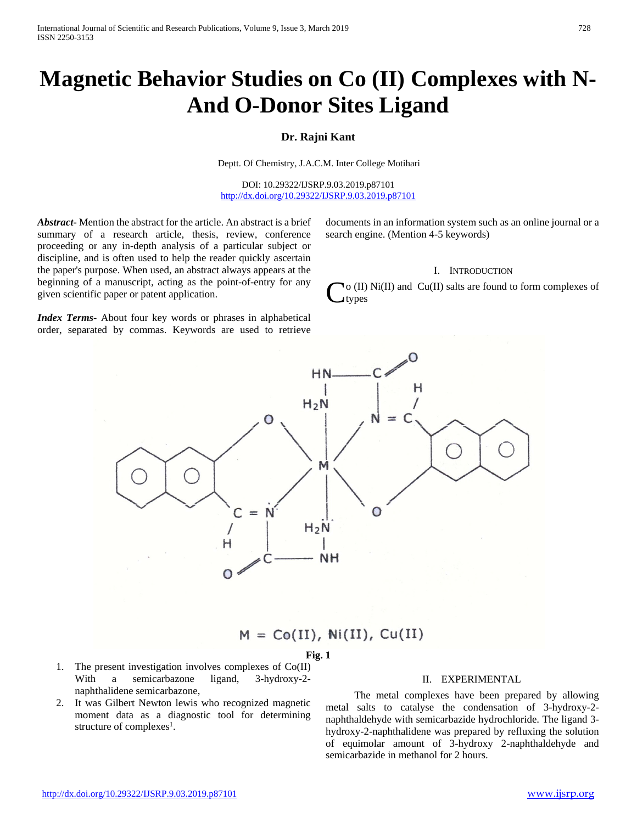# **Magnetic Behavior Studies on Co (II) Complexes with N-And O-Donor Sites Ligand**

## **Dr. Rajni Kant**

Deptt. Of Chemistry, J.A.C.M. Inter College Motihari

DOI: 10.29322/IJSRP.9.03.2019.p87101 <http://dx.doi.org/10.29322/IJSRP.9.03.2019.p87101>

*Abstract***-** Mention the abstract for the article. An abstract is a brief summary of a research article, thesis, review, conference proceeding or any in-depth analysis of a particular subject or discipline, and is often used to help the reader quickly ascertain the paper's purpose. When used, an abstract always appears at the beginning of a manuscript, acting as the point-of-entry for any given scientific paper or patent application.

*Index Terms*- About four key words or phrases in alphabetical order, separated by commas. Keywords are used to retrieve documents in an information system such as an online journal or a search engine. (Mention 4-5 keywords)

### I. INTRODUCTION

 $\mathcal{N}_0$  (II) Ni(II) and Cu(II) salts are found to form complexes of types C



# $M = Co(II)$ , Ni $(II)$ , Cu $(II)$

#### **Fig. 1**

- 1. The present investigation involves complexes of Co(II) With a semicarbazone ligand, 3-hydroxy-2 naphthalidene semicarbazone,
- 2. It was Gilbert Newton lewis who recognized magnetic moment data as a diagnostic tool for determining structure of complexes<sup>1</sup>.

#### II. EXPERIMENTAL

 The metal complexes have been prepared by allowing metal salts to catalyse the condensation of 3-hydroxy-2 naphthaldehyde with semicarbazide hydrochloride. The ligand 3 hydroxy-2-naphthalidene was prepared by refluxing the solution of equimolar amount of 3-hydroxy 2-naphthaldehyde and semicarbazide in methanol for 2 hours.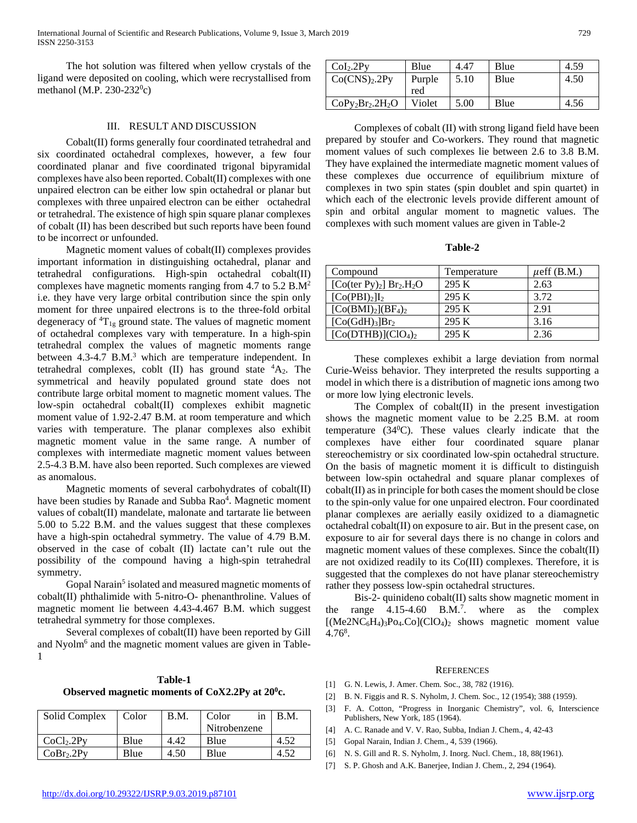The hot solution was filtered when yellow crystals of the ligand were deposited on cooling, which were recrystallised from methanol (M.P. 230-232 $^0$ c)

#### III. RESULT AND DISCUSSION

 Cobalt(II) forms generally four coordinated tetrahedral and six coordinated octahedral complexes, however, a few four coordinated planar and five coordinated trigonal bipyramidal complexes have also been reported. Cobalt(II) complexes with one unpaired electron can be either low spin octahedral or planar but complexes with three unpaired electron can be either octahedral or tetrahedral. The existence of high spin square planar complexes of cobalt (II) has been described but such reports have been found to be incorrect or unfounded.

 Magnetic moment values of cobalt(II) complexes provides important information in distinguishing octahedral, planar and tetrahedral configurations. High-spin octahedral cobalt(II) complexes have magnetic moments ranging from 4.7 to 5.2 B.M2 i.e. they have very large orbital contribution since the spin only moment for three unpaired electrons is to the three-fold orbital degeneracy of  ${}^{4}T_{1g}$  ground state. The values of magnetic moment of octahedral complexes vary with temperature. In a high-spin tetrahedral complex the values of magnetic moments range between 4.3-4.7 B.M.<sup>3</sup> which are temperature independent. In tetrahedral complexes, coblt  $(II)$  has ground state  ${}^4A_2$ . The symmetrical and heavily populated ground state does not contribute large orbital moment to magnetic moment values. The low-spin octahedral cobalt(II) complexes exhibit magnetic moment value of 1.92-2.47 B.M. at room temperature and which varies with temperature. The planar complexes also exhibit magnetic moment value in the same range. A number of complexes with intermediate magnetic moment values between 2.5-4.3 B.M. have also been reported. Such complexes are viewed as anomalous.

 Magnetic moments of several carbohydrates of cobalt(II) have been studies by Ranade and Subba Rao<sup>4</sup>. Magnetic moment values of cobalt(II) mandelate, malonate and tartarate lie between 5.00 to 5.22 B.M. and the values suggest that these complexes have a high-spin octahedral symmetry. The value of 4.79 B.M. observed in the case of cobalt (II) lactate can't rule out the possibility of the compound having a high-spin tetrahedral symmetry.

Gopal Narain<sup>5</sup> isolated and measured magnetic moments of cobalt(II) phthalimide with 5-nitro-O- phenanthroline. Values of magnetic moment lie between 4.43-4.467 B.M. which suggest tetrahedral symmetry for those complexes.

 Several complexes of cobalt(II) have been reported by Gill and Nyolm<sup>6</sup> and the magnetic moment values are given in Table-1

**Table-1** Observed magnetic moments of CoX2.2Py at 20<sup>0</sup>c.

| Solid Complex          | Color | B.M. | Color        | B.M. |
|------------------------|-------|------|--------------|------|
|                        |       |      | Nitrobenzene |      |
| CoCl <sub>2</sub> .2Py | Blue  | 4.42 | Blue         | 4.52 |
| CoBr <sub>2</sub> 2Py  | Blue  | 4.50 | Blue         |      |

| Col <sub>2</sub> .2Py         | Blue   | 4.47 | Blue | 4.59 |
|-------------------------------|--------|------|------|------|
| $Co(CNS)_2.2Py$               | Purple | 5.10 | Blue | 4.50 |
|                               | red    |      |      |      |
| $CoPy2Br2$ .2H <sub>2</sub> O | Violet | 5.00 | Blue | 4.56 |

 Complexes of cobalt (II) with strong ligand field have been prepared by stoufer and Co-workers. They round that magnetic moment values of such complexes lie between 2.6 to 3.8 B.M. They have explained the intermediate magnetic moment values of these complexes due occurrence of equilibrium mixture of complexes in two spin states (spin doublet and spin quartet) in which each of the electronic levels provide different amount of spin and orbital angular moment to magnetic values. The complexes with such moment values are given in Table-2

**Table-2**

| Compound                               | Temperature | $\mu$ eff (B.M.) |
|----------------------------------------|-------------|------------------|
| $[Co(\text{ter Py})_2]$ $Br_2.H_2O$    | 295 K       | 2.63             |
| [Co(PBI) <sub>2</sub> ]I <sub>2</sub>  | 295 K       | 3.72             |
| $[Co(BMI)2](BF4)2$                     | 295 K       | 2.91             |
| [Co(GdH) <sub>3</sub> ]Br <sub>2</sub> | 295 K       | 3.16             |
| $[Co(DTHB)] (ClO4)2$                   | 295 K       | 2.36             |

 These complexes exhibit a large deviation from normal Curie-Weiss behavior. They interpreted the results supporting a model in which there is a distribution of magnetic ions among two or more low lying electronic levels.

 The Complex of cobalt(II) in the present investigation shows the magnetic moment value to be 2.25 B.M. at room temperature  $(34^0C)$ . These values clearly indicate that the complexes have either four coordinated square planar stereochemistry or six coordinated low-spin octahedral structure. On the basis of magnetic moment it is difficult to distinguish between low-spin octahedral and square planar complexes of cobalt(II) as in principle for both cases the moment should be close to the spin-only value for one unpaired electron. Four coordinated planar complexes are aerially easily oxidized to a diamagnetic octahedral cobalt(II) on exposure to air. But in the present case, on exposure to air for several days there is no change in colors and magnetic moment values of these complexes. Since the cobalt(II) are not oxidized readily to its Co(III) complexes. Therefore, it is suggested that the complexes do not have planar stereochemistry rather they possess low-spin octahedral structures.

 Bis-2- quinideno cobalt(II) salts show magnetic moment in the range 4.15-4.60 B.M.7 . where as the complex  $[(Me2NC<sub>6</sub>H<sub>4</sub>)<sub>3</sub>Po<sub>4</sub>.Co](ClO<sub>4</sub>)<sub>2</sub>$  shows magnetic moment value  $4.76^8$ .

#### **REFERENCES**

- [1] G. N. Lewis, J. Amer. Chem. Soc., 38, 782 (1916).
- [2] B. N. Figgis and R. S. Nyholm, J. Chem. Soc., 12 (1954); 388 (1959).
- [3] F. A. Cotton, "Progress in Inorganic Chemistry", vol. 6, Interscience Publishers, New York, 185 (1964).
- [4] A. C. Ranade and V. V. Rao, Subba, Indian J. Chem., 4, 42-43
- [5] Gopal Narain, Indian J. Chem., 4, 539 (1966).
- [6] N. S. Gill and R. S. Nyholm, J. Inorg. Nucl. Chem., 18, 88(1961).
- [7] S. P. Ghosh and A.K. Banerjee, Indian J. Chem., 2, 294 (1964).